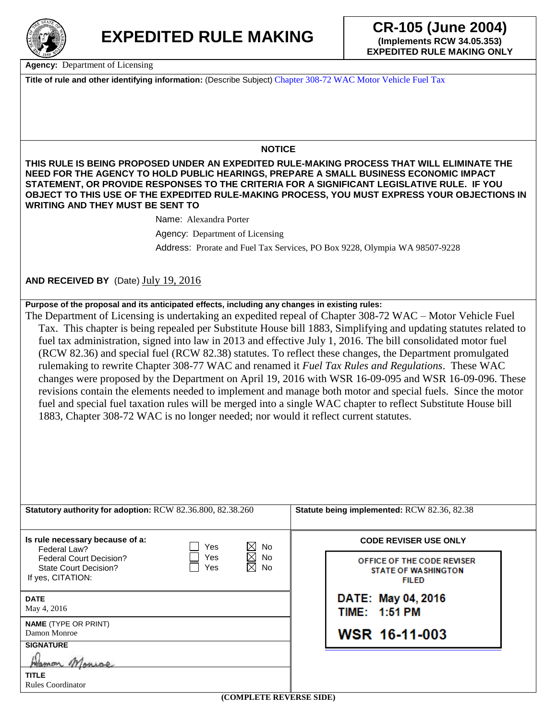

**Agency:** Department of Licensing

**Title of rule and other identifying information:** (Describe Subject) Chapter 308-72 WAC Motor Vehicle Fuel Tax

## **NOTICE**

**THIS RULE IS BEING PROPOSED UNDER AN EXPEDITED RULE-MAKING PROCESS THAT WILL ELIMINATE THE NEED FOR THE AGENCY TO HOLD PUBLIC HEARINGS, PREPARE A SMALL BUSINESS ECONOMIC IMPACT STATEMENT, OR PROVIDE RESPONSES TO THE CRITERIA FOR A SIGNIFICANT LEGISLATIVE RULE. IF YOU OBJECT TO THIS USE OF THE EXPEDITED RULE-MAKING PROCESS, YOU MUST EXPRESS YOUR OBJECTIONS IN WRITING AND THEY MUST BE SENT TO** 

Name: Alexandra Porter

Agency: Department of Licensing Address: Prorate and Fuel Tax Services, PO Box 9228, Olympia WA 98507-9228

**AND RECEIVED BY** (Date) July 19, 2016

## **Purpose of the proposal and its anticipated effects, including any changes in existing rules:**

The Department of Licensing is undertaking an expedited repeal of Chapter 308-72 WAC – Motor Vehicle Fuel Tax. This chapter is being repealed per Substitute House bill 1883, Simplifying and updating statutes related to fuel tax administration, signed into law in 2013 and effective July 1, 2016. The bill consolidated motor fuel (RCW 82.36) and special fuel (RCW 82.38) statutes. To reflect these changes, the Department promulgated rulemaking to rewrite Chapter 308-77 WAC and renamed it *Fuel Tax Rules and Regulations*. These WAC changes were proposed by the Department on April 19, 2016 with WSR 16-09-095 and WSR 16-09-096. These revisions contain the elements needed to implement and manage both motor and special fuels. Since the motor fuel and special fuel taxation rules will be merged into a single WAC chapter to reflect Substitute House bill 1883, Chapter 308-72 WAC is no longer needed; nor would it reflect current statutes.

| Statutory authority for adoption: RCW 82.36.800, 82.38.260                   |            |                                                      | Statute being implemented: RCW 82.36, 82.38                              |  |
|------------------------------------------------------------------------------|------------|------------------------------------------------------|--------------------------------------------------------------------------|--|
|                                                                              |            |                                                      |                                                                          |  |
| Is rule necessary because of a:<br>Federal Law?                              | Yes        | ⊠<br><b>No</b>                                       | <b>CODE REVISER USE ONLY</b>                                             |  |
| <b>Federal Court Decision?</b><br>State Court Decision?<br>If yes, CITATION: | Yes<br>Yes | $\boxtimes$<br><b>No</b><br>$\boxtimes$<br><b>No</b> | OFFICE OF THE CODE REVISER<br><b>STATE OF WASHINGTON</b><br><b>FILED</b> |  |
| <b>DATE</b><br>May 4, 2016                                                   |            |                                                      | DATE: May 04, 2016<br>TIME: 1:51 PM                                      |  |
| <b>NAME</b> (TYPE OR PRINT)<br>Damon Monroe                                  |            |                                                      | WSR 16-11-003                                                            |  |
| <b>SIGNATURE</b>                                                             |            |                                                      |                                                                          |  |
| ттын                                                                         |            |                                                      |                                                                          |  |
| <b>TITLE</b><br>Rules Coordinator                                            |            |                                                      |                                                                          |  |
|                                                                              |            | <i>CONINI EEE BRUEDAR CIREN</i>                      |                                                                          |  |